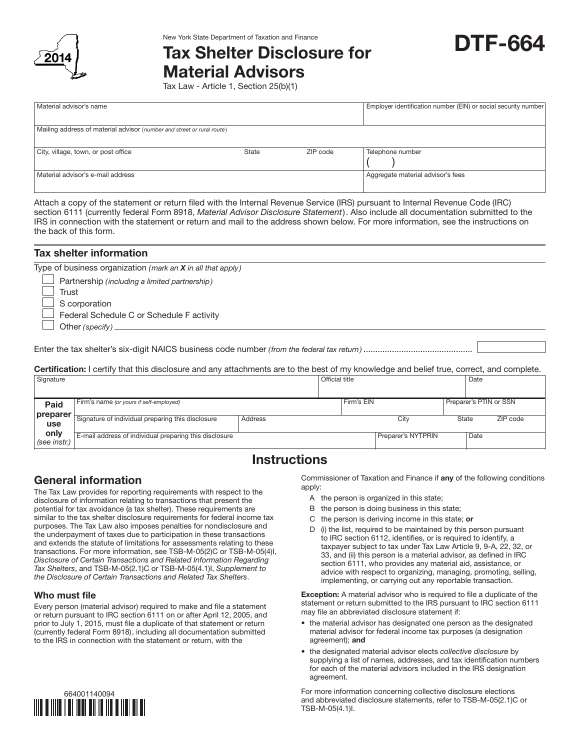

# New York State Department of Taxation and Finance<br>Tax Shelter Disclosure for **DTF-664** Material Advisors

Tax Law - Article 1, Section 25(b)(1)

| Material advisor's name                                                |       | Employer identification number (EIN) or social security number |                                   |  |  |
|------------------------------------------------------------------------|-------|----------------------------------------------------------------|-----------------------------------|--|--|
|                                                                        |       |                                                                |                                   |  |  |
| Mailing address of material advisor (number and street or rural route) |       |                                                                |                                   |  |  |
|                                                                        |       |                                                                |                                   |  |  |
| City, village, town, or post office                                    | State | ZIP code                                                       | Telephone number                  |  |  |
|                                                                        |       |                                                                |                                   |  |  |
| Material advisor's e-mail address                                      |       |                                                                | Aggregate material advisor's fees |  |  |
|                                                                        |       |                                                                |                                   |  |  |

Attach a copy of the statement or return filed with the Internal Revenue Service (IRS) pursuant to Internal Revenue Code (IRC) section 6111 (currently federal Form 8918, *Material Advisor Disclosure Statement*). Also include all documentation submitted to the IRS in connection with the statement or return and mail to the address shown below. For more information, see the instructions on the back of this form.

| <b>Tax shelter information</b>                                                                                                                                                                       |
|------------------------------------------------------------------------------------------------------------------------------------------------------------------------------------------------------|
| Type of business organization (mark an $X$ in all that apply)                                                                                                                                        |
| Partnership (including a limited partnership)                                                                                                                                                        |
| Trust                                                                                                                                                                                                |
| S corporation                                                                                                                                                                                        |
| Federal Schedule C or Schedule F activity                                                                                                                                                            |
| Other (specify) $\sqrt{\frac{1}{2}$                                                                                                                                                                  |
|                                                                                                                                                                                                      |
|                                                                                                                                                                                                      |
|                                                                                                                                                                                                      |
| <b>Certification:</b> I certify that this disclosure and any attachments are to the best of my knowledge and belief true, correct, and complete.<br>$\sim$ $\sim$ $\sim$ $\sim$ $\sim$ $\sim$ $\sim$ |

| Signature            |                                                        |         | <b>Official title</b> |                    | Date                   |          |
|----------------------|--------------------------------------------------------|---------|-----------------------|--------------------|------------------------|----------|
| Paid                 | Firm's name (or yours if self-employed)                |         |                       | Firm's EIN         | Preparer's PTIN or SSN |          |
| preparer<br>use      | Signature of individual preparing this disclosure      | Address |                       | City               | State                  | ZIP code |
| only<br>(see instr.) | E-mail address of individual preparing this disclosure |         |                       | Preparer's NYTPRIN | Date                   |          |

## **Instructions**

## General information

The Tax Law provides for reporting requirements with respect to the disclosure of information relating to transactions that present the potential for tax avoidance (a tax shelter). These requirements are similar to the tax shelter disclosure requirements for federal income tax purposes. The Tax Law also imposes penalties for nondisclosure and the underpayment of taxes due to participation in these transactions and extends the statute of limitations for assessments relating to these transactions. For more information, see TSB-M-05(2)C or TSB-M-05(4)I, *Disclosure of Certain Transactions and Related Information Regarding Tax Shelters*, and TSB-M-05(2.1)C or TSB-M-05(4.1)I, *Supplement to the Disclosure of Certain Transactions and Related Tax Shelters*.

### Who must file

Every person (material advisor) required to make and file a statement or return pursuant to IRC section 6111 on or after April 12, 2005, and prior to July 1, 2015, must file a duplicate of that statement or return (currently federal Form 8918), including all documentation submitted to the IRS in connection with the statement or return, with the



Commissioner of Taxation and Finance if any of the following conditions apply:

- A the person is organized in this state;
- B the person is doing business in this state;
- C the person is deriving income in this state; or
- D (i) the list, required to be maintained by this person pursuant to IRC section 6112, identifies, or is required to identify, a taxpayer subject to tax under Tax Law Article 9, 9-A, 22, 32, or 33, and (ii) this person is a material advisor, as defined in IRC section 6111, who provides any material aid, assistance, or advice with respect to organizing, managing, promoting, selling, implementing, or carrying out any reportable transaction.

Exception: A material advisor who is required to file a duplicate of the statement or return submitted to the IRS pursuant to IRC section 6111 may file an abbreviated disclosure statement if:

- the material advisor has designated one person as the designated material advisor for federal income tax purposes (a designation agreement); and
- the designated material advisor elects *collective disclosure* by supplying a list of names, addresses, and tax identification numbers for each of the material advisors included in the IRS designation agreement.

For more information concerning collective disclosure elections and abbreviated disclosure statements, refer to TSB-M-05(2.1)C or TSB-M-05(4.1)I.